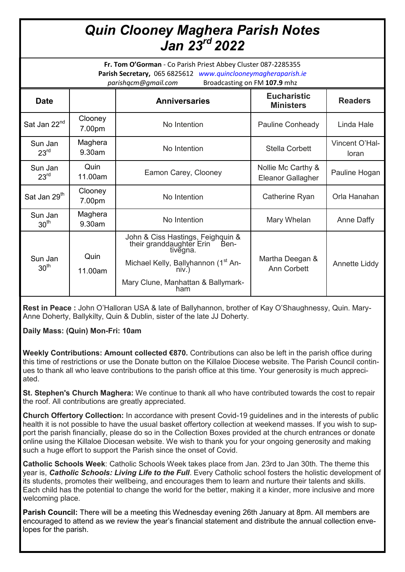## *Quin Clooney Maghera Parish Notes Jan 23rd 2022*

**Fr. Tom O'Gorman** - Co Parish Priest Abbey Cluster 087-2285355 **Parish Secretary,** 065 6825612 *www.quinclooneymagheraparish.ie parishqcm@gmail.com* Broadcasting on FM **107.9** mhz

| <b>Date</b>                 |                   | <b>Anniversaries</b>                                                           | <b>Eucharistic</b><br><b>Ministers</b>  | <b>Readers</b>          |
|-----------------------------|-------------------|--------------------------------------------------------------------------------|-----------------------------------------|-------------------------|
| Sat Jan 22 <sup>nd</sup>    | Clooney<br>7.00pm | No Intention                                                                   | Pauline Conheady                        | Linda Hale              |
| Sun Jan<br>23 <sup>rd</sup> | Maghera<br>9.30am | No Intention                                                                   | <b>Stella Corbett</b>                   | Vincent O'Hal-<br>loran |
| Sun Jan<br>23 <sup>rd</sup> | Quin<br>11.00am   | Eamon Carey, Clooney                                                           | Nollie Mc Carthy &<br>Eleanor Gallagher | Pauline Hogan           |
| Sat Jan 29 <sup>th</sup>    | Clooney<br>7.00pm | No Intention                                                                   | Catherine Ryan                          | Orla Hanahan            |
| Sun Jan<br>30 <sup>th</sup> | Maghera<br>9.30am | No Intention                                                                   | Mary Whelan                             | Anne Daffy              |
| Sun Jan<br>30 <sup>th</sup> | Quin<br>11.00am   | John & Ciss Hastings, Feighquin &<br>their granddaughter Erin Ben-<br>tivėgna. | Martha Deegan &<br>Ann Corbett          | Annette Liddy           |
|                             |                   | Michael Kelly, Ballyhannon (1 <sup>st</sup> An-<br>niv)                        |                                         |                         |
|                             |                   | Mary Clune, Manhattan & Ballymark-<br>ham                                      |                                         |                         |

**Rest in Peace :** John O'Halloran USA & late of Ballyhannon, brother of Kay O'Shaughnessy, Quin. Mary-Anne Doherty, Ballykilty, Quin & Dublin, sister of the late JJ Doherty.

**Daily Mass: (Quin) Mon-Fri: 10am**

**Weekly Contributions: Amount collected €870.** Contributions can also be left in the parish office during this time of restrictions or use the Donate button on the Killaloe Diocese website. The Parish Council continues to thank all who leave contributions to the parish office at this time. Your generosity is much appreciated.

**St. Stephen's Church Maghera:** We continue to thank all who have contributed towards the cost to repair the roof. All contributions are greatly appreciated.

**Church Offertory Collection:** In accordance with present Covid-19 guidelines and in the interests of public health it is not possible to have the usual basket offertory collection at weekend masses. If you wish to support the parish financially, please do so in the Collection Boxes provided at the church entrances or donate online using the Killaloe Diocesan website. We wish to thank you for your ongoing generosity and making such a huge effort to support the Parish since the onset of Covid.

**Catholic Schools Week**: Catholic Schools Week takes place from Jan. 23rd to Jan 30th. The theme this year is, *Catholic Schools: Living Life to the Full*. Every Catholic school fosters the holistic development of its students, promotes their wellbeing, and encourages them to learn and nurture their talents and skills. Each child has the potential to change the world for the better, making it a kinder, more inclusive and more welcoming place.

**Parish Council:** There will be a meeting this Wednesday evening 26th January at 8pm. All members are encouraged to attend as we review the year's financial statement and distribute the annual collection envelopes for the parish.